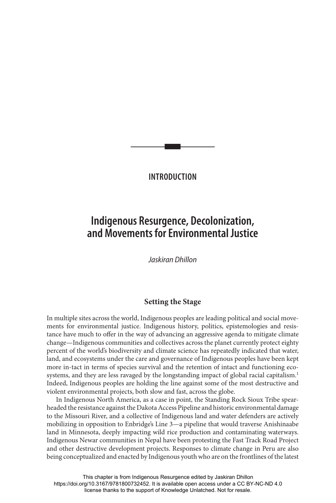

**INTRODUCTION**

# **Indigenous Resurgence, Decolonization, and Movements for Environmental Justice**

*Jaskiran Dhillon*

## **Setting the Stage**

In multiple sites across the world, Indigenous peoples are leading political and social movements for environmental justice. Indigenous history, politics, epistemologies and resistance have much to offer in the way of advancing an aggressive agenda to mitigate climate change—Indigenous communities and collectives across the planet currently protect eighty percent of the world's biodiversity and climate science has repeatedly indicated that water, land, and ecosystems under the care and governance of Indigenous peoples have been kept more in-tact in terms of species survival and the retention of intact and functioning ecosystems, and they are less ravaged by the longstanding impact of global racial capitalism.<sup>1</sup> Indeed, Indigenous peoples are holding the line against some of the most destructive and violent environmental projects, both slow and fast, across the globe.

In Indigenous North America, as a case in point, the Standing Rock Sioux Tribe spearheaded the resistance against the Dakota Access Pipeline and historic environmental damage to the Missouri River, and a collective of Indigenous land and water defenders are actively mobilizing in opposition to Enbridge's Line 3—a pipeline that would traverse Anishinaabe land in Minnesota, deeply impacting wild rice production and contaminating waterways. Indigenous Newar communities in Nepal have been protesting the Fast Track Road Project and other destructive development projects. Responses to climate change in Peru are also being conceptualized and enacted by Indigenous youth who are on the frontlines of the latest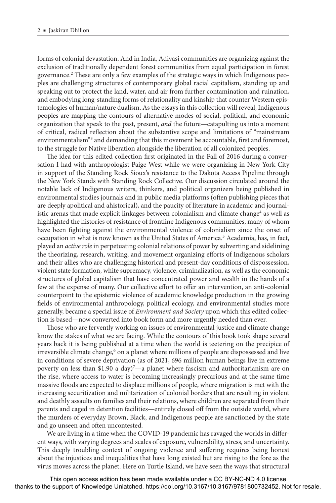forms of colonial devastation. And in India, Adivasi communities are organizing against the exclusion of traditionally dependent forest communities from equal participation in forest governance.2 These are only a few examples of the strategic ways in which Indigenous peoples are challenging structures of contemporary global racial capitalism, standing up and speaking out to protect the land, water, and air from further contamination and ruination, and embodying long-standing forms of relationality and kinship that counter Western epistemologies of human/nature dualism. As the essays in this collection will reveal, Indigenous peoples are mapping the contours of alternative modes of social, political, and economic organization that speak to the past, present, *and* the future—catapulting us into a moment of critical, radical reflection about the substantive scope and limitations of "mainstream environmentalism"3 and demanding that this movement be accountable, first and foremost, to the struggle for Native liberation alongside the liberation of all colonized peoples.

The idea for this edited collection first originated in the Fall of 2016 during a conversation I had with anthropologist Paige West while we were organizing in New York City in support of the Standing Rock Sioux's resistance to the Dakota Access Pipeline through the New York Stands with Standing Rock Collective. Our discussion circulated around the notable lack of Indigenous writers, thinkers, and political organizers being published in environmental studies journals and in public media platforms (often publishing pieces that are deeply apolitical and ahistorical), and the paucity of literature in academic and journalistic arenas that made explicit linkages between colonialism and climate change<sup>4</sup> as well as highlighted the histories of resistance of frontline Indigenous communities, many of whom have been fighting against the environmental violence of colonialism since the onset of occupation in what is now known as the United States of America.<sup>5</sup> Academia, has, in fact, played an *active role* in perpetuating colonial relations of power by subverting and sidelining the theorizing, research, writing, and movement organizing efforts of Indigenous scholars and their allies who are challenging historical and present-day conditions of dispossession, violent state formation, white supremacy, violence, criminalization, as well as the economic structures of global capitalism that have concentrated power and wealth in the hands of a few at the expense of many. Our collective effort to offer an intervention, an anti-colonial counterpoint to the epistemic violence of academic knowledge production in the growing fields of environmental anthropology, political ecology, and environmental studies more generally, became a special issue of *Environment and Society* upon which this edited collection is based—now converted into book form and more urgently needed than ever.

Those who are fervently working on issues of environmental justice and climate change know the stakes of what we are facing. While the contours of this book took shape several years back it is being published at a time when the world is teetering on the precipice of irreversible climate change,<sup>6</sup> on a planet where millions of people are dispossessed and live in conditions of severe deprivation (as of 2021, 696 million human beings live in extreme poverty on less than \$1.90 a day)<sup>7</sup>—a planet where fascism and authoritarianism are on the rise, where access to water is becoming increasingly precarious and at the same time massive floods are expected to displace millions of people, where migration is met with the increasing securitization and militarization of colonial borders that are resulting in violent and deathly assaults on families and their relations, where children are separated from their parents and caged in detention facilities—entirely closed off from the outside world, where the murders of everyday Brown, Black, and Indigenous people are sanctioned by the state and go unseen and often uncontested.

We are living in a time when the COVID-19 pandemic has ravaged the worlds in different ways, with varying degrees and scales of exposure, vulnerability, stress, and uncertainty. This deeply troubling context of ongoing violence and suffering requires being honest about the injustices and inequalities that have long existed but are rising to the fore as the virus moves across the planet. Here on Turtle Island, we have seen the ways that structural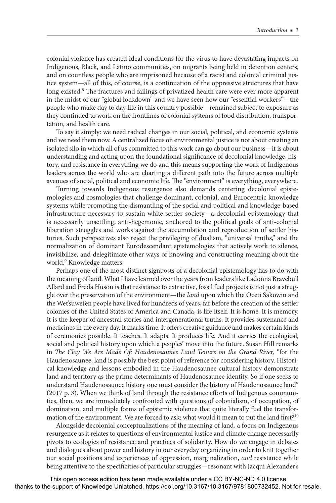colonial violence has created ideal conditions for the virus to have devastating impacts on Indigenous, Black, and Latino communities, on migrants being held in detention centers, and on countless people who are imprisoned because of a racist and colonial criminal justice system—all of this, of course, is a continuation of the oppressive structures that have long existed.8 The fractures and failings of privatized health care were ever more apparent in the midst of our "global lockdown" and we have seen how our "essential workers"—the people who make day to day life in this country possible—remained subject to exposure as they continued to work on the frontlines of colonial systems of food distribution, transportation, and health care.

To say it simply: we need radical changes in our social, political, and economic systems and we need them now. A centralized focus on environmental justice is not about creating an isolated silo in which all of us committed to this work can go about our business—it is about understanding and acting upon the foundational significance of decolonial knowledge, history, and resistance in everything we do and this means supporting the work of Indigenous leaders across the world who are charting a different path into the future across multiple avenues of social, political and economic life. The "environment" is everything, everywhere.

Turning towards Indigenous resurgence also demands centering decolonial epistemologies and cosmologies that challenge dominant, colonial, and Eurocentric knowledge systems while promoting the dismantling of the social and political and knowledge-based infrastructure necessary to sustain white settler society—a decolonial epistemology that is necessarily unsettling, anti-hegemonic, anchored to the political goals of anti-colonial liberation struggles and works against the accumulation and reproduction of settler histories. Such perspectives also reject the privileging of dualism, "universal truths," and the normalization of dominant Eurodescendant epistemologies that actively work to silence, invisibilize, and delegitimate other ways of knowing and constructing meaning about the world.9 Knowledge matters.

Perhaps one of the most distinct signposts of a decolonial epistemology has to do with the meaning of land. What I have learned over the years from leaders like Ladonna Bravebull Allard and Freda Huson is that resistance to extractive, fossil fuel projects is not just a struggle over the preservation of the environment—the *land* upon which the Oceti Sakowin and the Wet'suwet'en people have lived for hundreds of years, far before the creation of the settler colonies of the United States of America and Canada, is life itself. It is home. It is memory. It is the keeper of ancestral stories and intergenerational truths. It provides sustenance and medicines in the every day. It marks time. It offers creative guidance and makes certain kinds of ceremonies possible. It teaches. It adapts. It produces life. And it carries the ecological, social and political history upon which a peoples' move into the future. Susan Hill remarks in *The Clay We Are Made Of: Haudenosaunee Land Tenure on the Grand River,* "for the Haudenosaunee, land is possibly the best point of reference for considering history. Historical knowledge and lessons embodied in the Haudenosaunee cultural history demonstrate land and territory as the prime determinants of Haudenosaunee identity. So if one seeks to understand Haudenosaunee history one must consider the history of Haudenosaunee land" (2017 p. 3). When we think of land through the resistance efforts of Indigenous communities, then, we are immediately confronted with questions of colonialism, of occupation, of domination, and multiple forms of epistemic violence that quite literally fuel the transformation of the environment. We are forced to ask: what would it mean to put the land first?<sup>10</sup>

Alongside decolonial conceptualizations of the meaning of land, a focus on Indigenous resurgence as it relates to questions of environmental justice and climate change necessarily pivots to ecologies of resistance and practices of solidarity. How do we engage in debates and dialogues about power and history in our everyday organizing in order to knit together our social positions and experiences of oppression, marginalization, *and* resistance while being attentive to the specificities of particular struggles—resonant with Jacqui Alexander's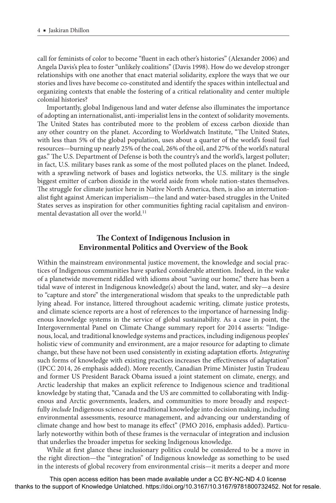call for feminists of color to become "fluent in each other's histories" (Alexander 2006) and Angela Davis's plea to foster "unlikely coalitions" (Davis 1998). How do we develop stronger relationships with one another that enact material solidarity, explore the ways that we our stories and lives have become co-constituted and identify the spaces within intellectual and organizing contexts that enable the fostering of a critical relationality and center multiple colonial histories?

Importantly, global Indigenous land and water defense also illuminates the importance of adopting an internationalist, anti-imperialist lens in the context of solidarity movements. The United States has contributed more to the problem of excess carbon dioxide than any other country on the planet. According to Worldwatch Institute, "The United States, with less than 5% of the global population, uses about a quarter of the world's fossil fuel resources—burning up nearly 25% of the coal, 26% of the oil, and 27% of the world's natural gas." The U.S. Department of Defense is both the country's and the world's, largest polluter; in fact, U.S. military bases rank as some of the most polluted places on the planet. Indeed, with a sprawling network of bases and logistics networks, the U.S. military is the single biggest emitter of carbon dioxide in the world aside from whole nation-states themselves. The struggle for climate justice here in Native North America, then, is also an internationalist fight against American imperialism—the land and water-based struggles in the United States serves as inspiration for other communities fighting racial capitalism and environmental devastation all over the world.<sup>11</sup>

### **The Context of Indigenous Inclusion in Environmental Politics and Overview of the Book**

Within the mainstream environmental justice movement, the knowledge and social practices of Indigenous communities have sparked considerable attention. Indeed, in the wake of a planetwide movement riddled with idioms about "saving our home," there has been a tidal wave of interest in Indigenous knowledge(s) about the land, water, and sky—a desire to "capture and store" the intergenerational wisdom that speaks to the unpredictable path lying ahead. For instance, littered throughout academic writing, climate justice protests, and climate science reports are a host of references to the importance of harnessing Indigenous knowledge systems in the service of global sustainability. As a case in point, the Intergovernmental Panel on Climate Change summary report for 2014 asserts: "Indigenous, local, and traditional knowledge systems and practices, including indigenous peoples' holistic view of community and environment, are a major resource for adapting to climate change, but these have not been used consistently in existing adaptation efforts. *Integrating* such forms of knowledge with existing practices increases the effectiveness of adaptation" (IPCC 2014, 26 emphasis added). More recently, Canadian Prime Minister Justin Trudeau and former US President Barack Obama issued a joint statement on climate, energy, and Arctic leadership that makes an explicit reference to Indigenous science and traditional knowledge by stating that, "Canada and the US are committed to collaborating with Indigenous and Arctic governments, leaders, and communities to more broadly and respectfully *include* Indigenous science and traditional knowledge into decision making, including environmental assessments, resource management, and advancing our understanding of climate change and how best to manage its effect" (PMO 2016, emphasis added). Particularly noteworthy within both of these frames is the vernacular of integration and inclusion that underlies the broader impetus for seeking Indigenous knowledge.

While at first glance these inclusionary politics could be considered to be a move in the right direction—the "integration" of Indigenous knowledge as something to be used in the interests of global recovery from environmental crisis—it merits a deeper and more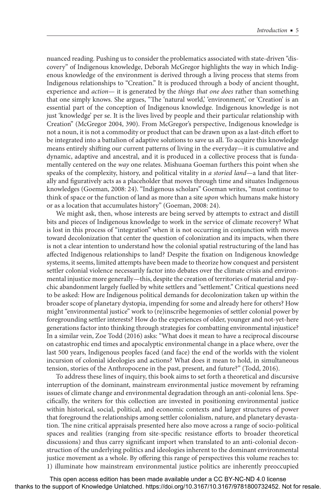nuanced reading. Pushing us to consider the problematics associated with state-driven "discovery" of Indigenous knowledge, Deborah McGregor highlights the way in which Indigenous knowledge of the environment is derived through a living process that stems from Indigenous relationships to "Creation." It is produced through a body of ancient thought, experience and *action—* it is generated by the *things that one does* rather than something that one simply knows. She argues, "The 'natural world,' 'environment,' or 'Creation' is an essential part of the conception of Indigenous knowledge. Indigenous knowledge is not just 'knowledge' per se. It is the lives lived by people and their particular relationship with Creation" (McGregor 2004, 390). From McGregor's perspective, Indigenous knowledge is not a noun, it is not a commodity or product that can be drawn upon as a last-ditch effort to be integrated into a battalion of adaptive solutions to save us all. To acquire this knowledge means entirely shifting our current patterns of living in the everyday—it is cumulative and dynamic, adaptive and ancestral, and it is produced in a collective process that is fundamentally centered on the *way* one relates. Mishuana Goeman furthers this point when she speaks of the complexity, history, and political vitality in *a storied land*—a land that literally and figuratively acts as a placeholder that moves through time and situates Indigenous knowledges (Goeman, 2008: 24). "Indigenous scholars" Goeman writes, "must continue to think of space or the function of land as more than a site *upon* which humans make history or as a location that accumulates history" (Goeman, 2008: 24).

We might ask, then, whose interests are being served by attempts to extract and distill bits and pieces of Indigenous knowledge to work in the service of climate recovery? What is lost in this process of "integration" when it is not occurring in conjunction with moves toward decolonization that center the question of colonization and its impacts, when there is not a clear intention to understand how the colonial spatial restructuring of the land has affected Indigenous relationships to land? Despite the fixation on Indigenous knowledge systems, it seems, limited attempts have been made to theorize how conquest and persistent settler colonial violence necessarily factor into debates over the climate crisis and environmental injustice more generally—this, despite the creation of territories of material and psychic abandonment largely fuelled by white settlers and "settlement." Critical questions need to be asked: How are Indigenous political demands for decolonization taken up within the broader scope of planetary dystopia, impending for some and already here for others? How might "environmental justice" work to (re)inscribe hegemonies of settler colonial power by foregrounding settler interests? How do the experiences of older, younger and not-yet-here generations factor into thinking through strategies for combatting environmental injustice? In a similar vein, Zoe Todd (2016) asks: "What does it mean to have a reciprocal discourse on catastrophic end times and apocalyptic environmental change in a place where, over the last 500 years, Indigenous peoples faced (and face) the end of the worlds with the violent incursion of colonial ideologies and actions? What does it mean to hold, in simultaneous tension, stories of the Anthropocene in the past, present, and future?" (Todd, 2016).

To address these lines of inquiry, this book aims to set forth a theoretical and discursive interruption of the dominant, mainstream environmental justice movement by reframing issues of climate change and environmental degradation through an anti-colonial lens. Specifically, the writers for this collection are invested in positioning environmental justice within historical, social, political, and economic contexts and larger structures of power that foreground the relationships among settler colonialism, nature, and planetary devastation. The nine critical appraisals presented here also move across a range of socio-political spaces and realities (ranging from site-specific resistance efforts to broader theoretical discussions) and thus carry significant import when translated to an anti-colonial deconstruction of the underlying politics and ideologies inherent to the dominant environmental justice movement as a whole. By offering this range of perspectives this volume reaches to: 1) illuminate how mainstream environmental justice politics are inherently preoccupied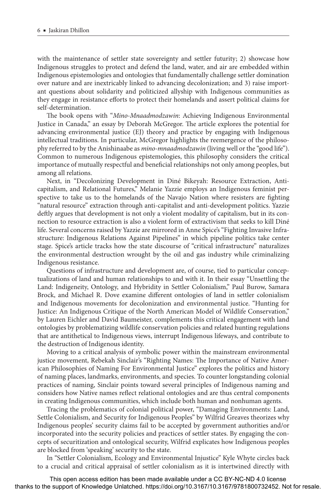with the maintenance of settler state sovereignty and settler futurity; 2) showcase how Indigenous struggles to protect and defend the land, water, and air are embedded within Indigenous epistemologies and ontologies that fundamentally challenge settler domination over nature and are inextricably linked to advancing decolonization; and 3) raise important questions about solidarity and politicized allyship with Indigenous communities as they engage in resistance efforts to protect their homelands and assert political claims for self-determination.

The book opens with "*Mino-Mnaadmodzawin*: Achieving Indigenous Environmental Justice in Canada," an essay by Deborah McGregor. The article explores the potential for advancing environmental justice (EJ) theory and practice by engaging with Indigenous intellectual traditions. In particular, McGregor highlights the reemergence of the philosophy referred to by the Anishinaabe as *mino-mnaadmodzawin* (living well or the "good life"). Common to numerous Indigenous epistemologies, this philosophy considers the critical importance of mutually respectful and beneficial relationships not only among peoples, but among all relations.

Next, in "Decolonizing Development in Diné Bikeyah: Resource Extraction, Anticapitalism, and Relational Futures," Melanie Yazzie employs an Indigenous feminist perspective to take us to the homelands of the Navajo Nation where resisters are fighting "natural resource" extraction through anti-capitalist and anti-development politics. Yazzie deftly argues that development is not only a violent modality of capitalism, but in its connection to resource extraction is also a violent form of extractivism that seeks to kill Diné life. Several concerns raised by Yazzie are mirrored in Anne Spice's "Fighting Invasive Infrastructure: Indigenous Relations Against Pipelines" in which pipeline politics take center stage. Spice's article tracks how the state discourse of "critical infrastructure" naturalizes the environmental destruction wrought by the oil and gas industry while criminalizing Indigenous resistance.

Questions of infrastructure and development are, of course, tied to particular conceptualizations of land and human relationships to and with it. In their essay "Unsettling the Land: Indigeneity, Ontology, and Hybridity in Settler Colonialism," Paul Burow, Samara Brock, and Michael R. Dove examine different ontologies of land in settler colonialism and Indigenous movements for decolonization and environmental justice. "Hunting for Justice: An Indigenous Critique of the North American Model of Wildlife Conservation," by Lauren Eichler and David Baumeister, complements this critical engagement with land ontologies by problematizing wildlife conservation policies and related hunting regulations that are antithetical to Indigenous views, interrupt Indigenous lifeways, and contribute to the destruction of Indigenous identity.

Moving to a critical analysis of symbolic power within the mainstream environmental justice movement, Rebekah Sinclair's "Righting Names: The Importance of Native American Philosophies of Naming For Environmental Justice" explores the politics and history of naming places, landmarks, environments, and species. To counter longstanding colonial practices of naming, Sinclair points toward several principles of Indigenous naming and considers how Native names reflect relational ontologies and are thus central components in creating Indigenous communities, which include both human and nonhuman agents.

Tracing the problematics of colonial political power, "Damaging Environments: Land, Settle Colonialism, and Security for Indigenous Peoples" by Wilfrid Greaves theorizes why Indigenous peoples' security claims fail to be accepted by government authorities and/or incorporated into the security policies and practices of settler states. By engaging the concepts of securitization and ontological security, Wilfrid explicates how Indigenous peoples are blocked from 'speaking' security to the state.

In "Settler Colonialism, Ecology and Environmental Injustice" Kyle Whyte circles back to a crucial and critical appraisal of settler colonialism as it is intertwined directly with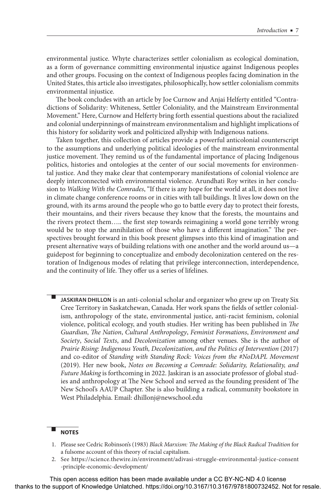environmental justice. Whyte characterizes settler colonialism as ecological domination, as a form of governance committing environmental injustice against Indigenous peoples and other groups. Focusing on the context of Indigenous peoples facing domination in the United States, this article also investigates, philosophically, how settler colonialism commits environmental injustice.

The book concludes with an article by Joe Curnow and Anjai Helferty entitled "Contradictions of Solidarity: Whiteness, Settler Coloniality, and the Mainstream Environmental Movement." Here, Curnow and Helferty bring forth essential questions about the racialized and colonial underpinnings of mainstream environmentalism and highlight implications of this history for solidarity work and politicized allyship with Indigenous nations.

Taken together, this collection of articles provide a powerful anticolonial counterscript to the assumptions and underlying political ideologies of the mainstream environmental justice movement. They remind us of the fundamental importance of placing Indigenous politics, histories and ontologies at the center of our social movements for environmental justice. And they make clear that contemporary manifestations of colonial violence are deeply interconnected with environmental violence. Arundhati Roy writes in her conclusion to *Walking With the Comrades*, "If there is any hope for the world at all, it does not live in climate change conference rooms or in cities with tall buildings. It lives low down on the ground, with its arms around the people who go to battle every day to protect their forests, their mountains, and their rivers because they know that the forests, the mountains and the rivers protect them….. the first step towards reimagining a world gone terribly wrong would be to stop the annihilation of those who have a different imagination." The perspectives brought forward in this book present glimpses into this kind of imagination and present alternative ways of building relations with one another and the world around us—a guidepost for beginning to conceptualize and embody decolonization centered on the restoration of Indigenous modes of relating that privilege interconnection, interdependence, and the continuity of life. They offer us a series of lifelines.

n **JASKIRAN DHILLON** is an anti-colonial scholar and organizer who grew up on Treaty Six Cree Territory in Saskatchewan, Canada. Her work spans the fields of settler colonialism, anthropology of the state, environmental justice, anti-racist feminism, colonial violence, political ecology, and youth studies. Her writing has been published in *The Guardian*, *The Nation*, *Cultural Anthropology*, *Feminist Formations*, *Environment and Society*, *Social Texts*, and *Decolonization* among other venues. She is the author of *Prairie Rising: Indigenous Youth, Decolonization, and the Politics of Intervention* (2017) and co-editor of *Standing with Standing Rock: Voices from the #NoDAPL Movement*  (2019). Her new book, *Notes on Becoming a Comrade: Solidarity, Relationality, and Future Making* is forthcoming in 2022. Jaskiran is an associate professor of global studies and anthropology at The New School and served as the founding president of The New School's AAUP Chapter. She is also building a radical, community bookstore in West Philadelphia. Email: dhillonj@newschool.edu

#### n **NOTES**

- 1. Please see Cedric Robinson's (1983) *Black Marxism: The Making of the Black Radical Tradition* for a fulsome account of this theory of racial capitalism.
- 2. See https://science.thewire.in/environment/adivasi-struggle-environmental-justice-consent -principle-economic-development/